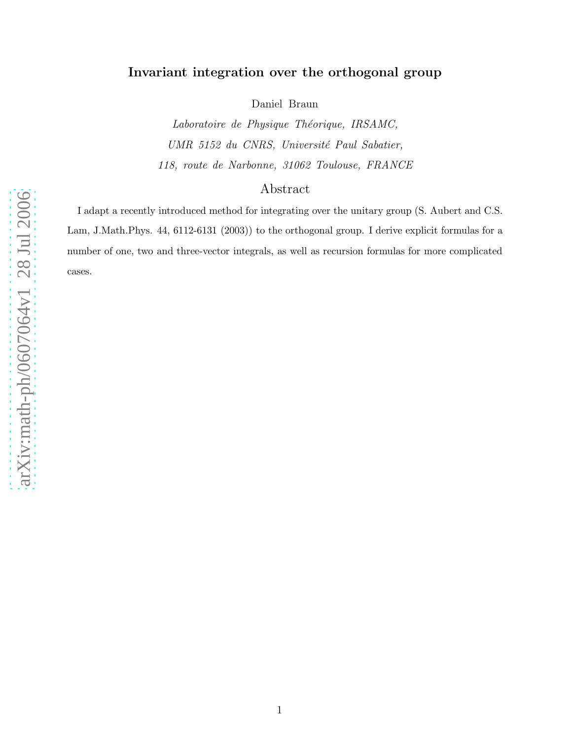# Invariant integration over the orthogonal group

Daniel Braun

Laboratoire de Physique Théorique, IRSAMC, UMR 5152 du CNRS, Université Paul Sabatier, 118, route de Narbonne, 31062 Toulouse, FRANCE

# Abstract

I adapt a recently introduced method for integrating over the unitary group (S. Aubert and C.S. Lam, J.Math.Phys. 44, 6112-6131 (2003)) to the orthogonal group. I derive explicit formulas for a number of one, two and three-vector integrals, as well as recursion formulas for more complicated cases.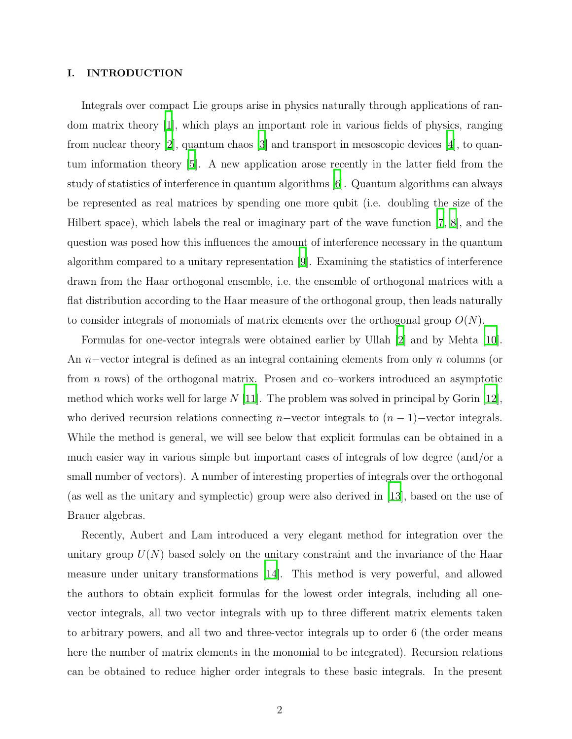## I. INTRODUCTION

Integrals over compact Lie groups arise in physics naturally through applications of random matrix theory [\[1\]](#page-12-0), which plays an important role in various fields of physics, ranging from nuclear theory [\[2\]](#page-12-1), quantum chaos [\[3\]](#page-12-2) and transport in mesoscopic devices [\[4\]](#page-12-3), to quantum information theory [\[5\]](#page-12-4). A new application arose recently in the latter field from the study of statistics of interference in quantum algorithms [\[6\]](#page-12-5). Quantum algorithms can always be represented as real matrices by spending one more qubit (i.e. doubling the size of the Hilbert space), which labels the real or imaginary part of the wave function [\[7](#page-12-6), [8](#page-12-7)], and the question was posed how this influences the amount of interference necessary in the quantum algorithm compared to a unitary representation [\[9](#page-12-8)]. Examining the statistics of interference drawn from the Haar orthogonal ensemble, i.e. the ensemble of orthogonal matrices with a flat distribution according to the Haar measure of the orthogonal group, then leads naturally to consider integrals of monomials of matrix elements over the orthogonal group  $O(N)$ .

Formulas for one-vector integrals were obtained earlier by Ullah [\[2\]](#page-12-1) and by Mehta [\[10\]](#page-12-9). An n−vector integral is defined as an integral containing elements from only n columns (or from n rows) of the orthogonal matrix. Prosen and co–workers introduced an asymptotic method which works well for large  $N$  [\[11](#page-12-10)]. The problem was solved in principal by Gorin [\[12\]](#page-12-11), who derived recursion relations connecting n–vector integrals to  $(n-1)$ –vector integrals. While the method is general, we will see below that explicit formulas can be obtained in a much easier way in various simple but important cases of integrals of low degree (and/or a small number of vectors). A number of interesting properties of integrals over the orthogonal (as well as the unitary and symplectic) group were also derived in [\[13](#page-12-12)], based on the use of Brauer algebras.

Recently, Aubert and Lam introduced a very elegant method for integration over the unitary group  $U(N)$  based solely on the unitary constraint and the invariance of the Haar measure under unitary transformations [\[14\]](#page-12-13). This method is very powerful, and allowed the authors to obtain explicit formulas for the lowest order integrals, including all onevector integrals, all two vector integrals with up to three different matrix elements taken to arbitrary powers, and all two and three-vector integrals up to order 6 (the order means here the number of matrix elements in the monomial to be integrated). Recursion relations can be obtained to reduce higher order integrals to these basic integrals. In the present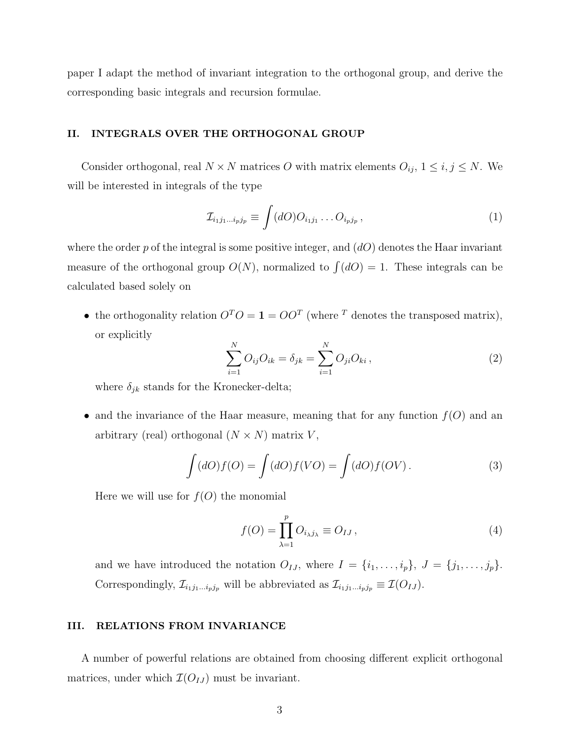paper I adapt the method of invariant integration to the orthogonal group, and derive the corresponding basic integrals and recursion formulae.

# II. INTEGRALS OVER THE ORTHOGONAL GROUP

Consider orthogonal, real  $N \times N$  matrices O with matrix elements  $O_{ij}$ ,  $1 \le i, j \le N$ . We will be interested in integrals of the type

$$
\mathcal{I}_{i_1j_1\ldots i_pj_p} \equiv \int (dO)O_{i_1j_1}\ldots O_{i_pj_p},\qquad(1)
$$

where the order p of the integral is some positive integer, and  $(dO)$  denotes the Haar invariant measure of the orthogonal group  $O(N)$ , normalized to  $\int (dO) = 1$ . These integrals can be calculated based solely on

<span id="page-2-1"></span>• the orthogonality relation  $O^T O = \mathbf{1} = O O^T$  (where <sup>T</sup> denotes the transposed matrix), or explicitly

<span id="page-2-0"></span>
$$
\sum_{i=1}^{N} O_{ij} O_{ik} = \delta_{jk} = \sum_{i=1}^{N} O_{ji} O_{ki}, \qquad (2)
$$

where  $\delta_{jk}$  stands for the Kronecker-delta;

• and the invariance of the Haar measure, meaning that for any function  $f(O)$  and an arbitrary (real) orthogonal  $(N \times N)$  matrix  $V$ ,

$$
\int (dO)f(O) = \int (dO)f(VO) = \int (dO)f(OV).
$$
\n(3)

Here we will use for  $f(O)$  the monomial

$$
f(O) = \prod_{\lambda=1}^{p} O_{i_{\lambda}j_{\lambda}} \equiv O_{IJ},
$$
\n(4)

and we have introduced the notation  $O_{IJ}$ , where  $I = \{i_1, \ldots, i_p\}$ ,  $J = \{j_1, \ldots, j_p\}$ . Correspondingly,  $\mathcal{I}_{i_1j_1...i_pj_p}$  will be abbreviated as  $\mathcal{I}_{i_1j_1...i_pj_p} \equiv \mathcal{I}(O_{IJ})$ .

# III. RELATIONS FROM INVARIANCE

A number of powerful relations are obtained from choosing different explicit orthogonal matrices, under which  $\mathcal{I}(O_{IJ})$  must be invariant.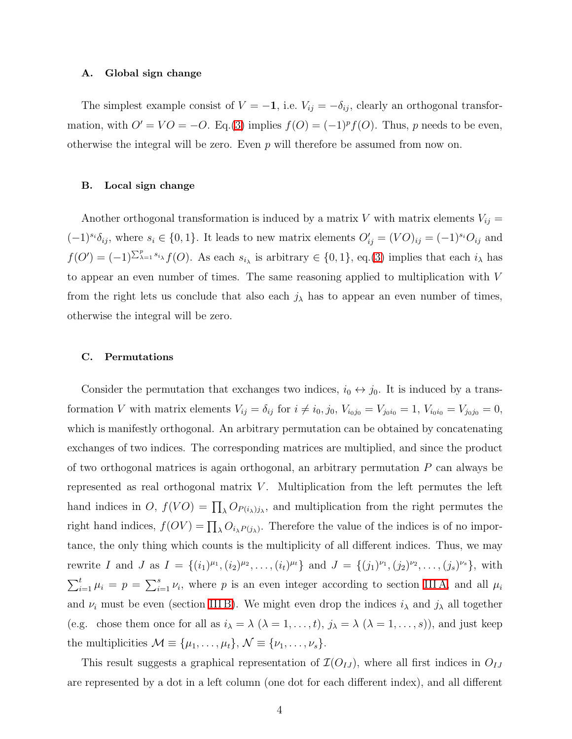### <span id="page-3-0"></span>A. Global sign change

<span id="page-3-1"></span>The simplest example consist of  $V = -1$ , i.e.  $V_{ij} = -\delta_{ij}$ , clearly an orthogonal transformation, with  $O' = VO = -O$ . Eq.[\(3\)](#page-2-0) implies  $f(O) = (-1)^p f(O)$ . Thus, p needs to be even, otherwise the integral will be zero. Even p will therefore be assumed from now on.

### B. Local sign change

Another orthogonal transformation is induced by a matrix V with matrix elements  $V_{ij} =$  $(-1)^{s_i} \delta_{ij}$ , where  $s_i \in \{0, 1\}$ . It leads to new matrix elements  $O'_{ij} = (VO)_{ij} = (-1)^{s_i} O_{ij}$  and  $f(O') = (-1)^{\sum_{\lambda=1}^p s_{i_\lambda}} f(O)$ . As each  $s_{i_\lambda}$  is arbitrary  $\in \{0,1\}$ , eq.[\(3\)](#page-2-0) implies that each  $i_\lambda$  has to appear an even number of times. The same reasoning applied to multiplication with V from the right lets us conclude that also each  $j_{\lambda}$  has to appear an even number of times, otherwise the integral will be zero.

### C. Permutations

Consider the permutation that exchanges two indices,  $i_0 \leftrightarrow j_0$ . It is induced by a transformation V with matrix elements  $V_{ij} = \delta_{ij}$  for  $i \neq i_0, j_0, V_{i_0j_0} = V_{j_0i_0} = 1, V_{i_0i_0} = V_{j_0j_0} = 0,$ which is manifestly orthogonal. An arbitrary permutation can be obtained by concatenating exchanges of two indices. The corresponding matrices are multiplied, and since the product of two orthogonal matrices is again orthogonal, an arbitrary permutation  $P$  can always be represented as real orthogonal matrix  $V$ . Multiplication from the left permutes the left hand indices in O,  $f(VO) = \prod_{\lambda} O_{P(i_{\lambda})j_{\lambda}}$ , and multiplication from the right permutes the right hand indices,  $f(OV) = \prod_{\lambda} O_{i_{\lambda}P(j_{\lambda})}$ . Therefore the value of the indices is of no importance, the only thing which counts is the multiplicity of all different indices. Thus, we may rewrite I and J as  $I = \{(i_1)^{\mu_1}, (i_2)^{\mu_2}, \ldots, (i_t)^{\mu_t}\}\$ and  $J = \{(j_1)^{\nu_1}, (j_2)^{\nu_2}, \ldots, (j_s)^{\nu_s}\}\$ , with  $\sum_{i=1}^t \mu_i = p = \sum_{i=1}^s \nu_i$ , where p is an even integer according to section IIIA, and all  $\mu_i$ and  $\nu_i$  must be even (section [III B\)](#page-3-1). We might even drop the indices  $i_\lambda$  and  $j_\lambda$  all together (e.g. chose them once for all as  $i_{\lambda} = \lambda (\lambda = 1, ..., t)$ ,  $j_{\lambda} = \lambda (\lambda = 1, ..., s)$ ), and just keep the multiplicities  $\mathcal{M} \equiv {\mu_1, \ldots, \mu_t}, \mathcal{N} \equiv {\nu_1, \ldots, \nu_s}.$ 

This result suggests a graphical representation of  $\mathcal{I}(O_{IJ})$ , where all first indices in  $O_{IJ}$ are represented by a dot in a left column (one dot for each different index), and all different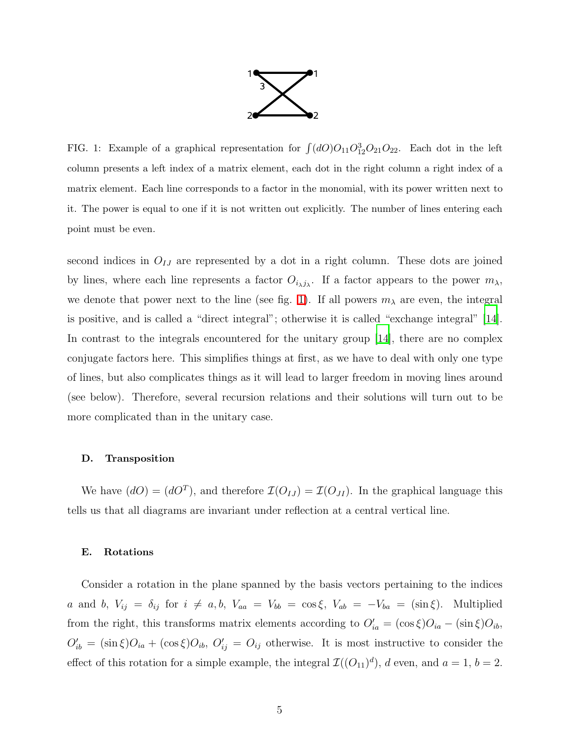

<span id="page-4-0"></span>FIG. 1: Example of a graphical representation for  $\int (dO)O_{11}O_{12}^3O_{21}O_{22}$ . Each dot in the left column presents a left index of a matrix element, each dot in the right column a right index of a matrix element. Each line corresponds to a factor in the monomial, with its power written next to it. The power is equal to one if it is not written out explicitly. The number of lines entering each point must be even.

second indices in  $O_{IJ}$  are represented by a dot in a right column. These dots are joined by lines, where each line represents a factor  $O_{i\lambda j\lambda}$ . If a factor appears to the power  $m_{\lambda}$ , we denote that power next to the line (see fig. [1\)](#page-4-0). If all powers  $m<sub>\lambda</sub>$  are even, the integral is positive, and is called a "direct integral"; otherwise it is called "exchange integral" [\[14\]](#page-12-13). In contrast to the integrals encountered for the unitary group [\[14](#page-12-13)], there are no complex conjugate factors here. This simplifies things at first, as we have to deal with only one type of lines, but also complicates things as it will lead to larger freedom in moving lines around (see below). Therefore, several recursion relations and their solutions will turn out to be more complicated than in the unitary case.

#### D. Transposition

<span id="page-4-1"></span>We have  $(dO) = (dO^T)$ , and therefore  $\mathcal{I}(O_{IJ}) = \mathcal{I}(O_{JI})$ . In the graphical language this tells us that all diagrams are invariant under reflection at a central vertical line.

#### E. Rotations

Consider a rotation in the plane spanned by the basis vectors pertaining to the indices a and b,  $V_{ij} = \delta_{ij}$  for  $i \neq a, b, V_{aa} = V_{bb} = \cos \xi$ ,  $V_{ab} = -V_{ba} = (\sin \xi)$ . Multiplied from the right, this transforms matrix elements according to  $O'_{ia} = (\cos \xi)O_{ia} - (\sin \xi)O_{ib}$ ,  $O'_{ib} = (\sin \xi)O_{ia} + (\cos \xi)O_{ib}, O'_{ij} = O_{ij}$  otherwise. It is most instructive to consider the effect of this rotation for a simple example, the integral  $\mathcal{I}((O_{11})^d)$ , d even, and  $a = 1$ ,  $b = 2$ .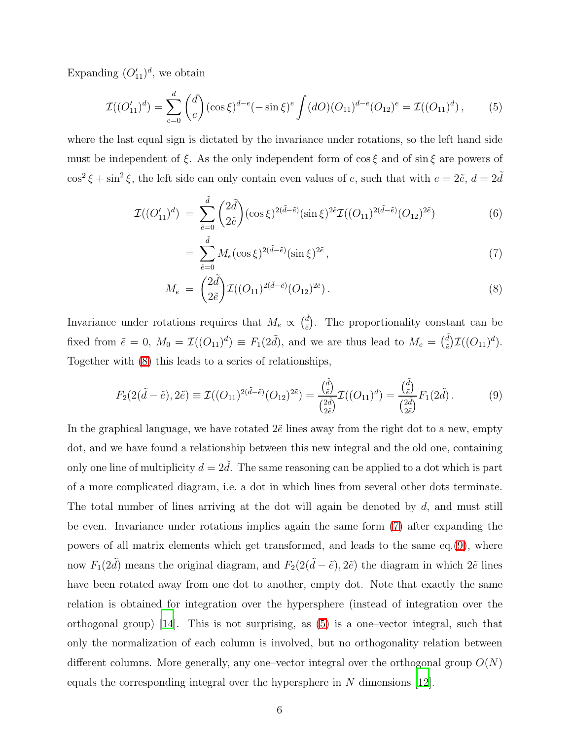Expanding  $(O'_{11})^d$ , we obtain

<span id="page-5-2"></span>
$$
\mathcal{I}((O'_{11})^d) = \sum_{e=0}^d \binom{d}{e} (\cos \xi)^{d-e} (-\sin \xi)^e \int (dO)(O_{11})^{d-e} (O_{12})^e = \mathcal{I}((O_{11})^d) \,,\tag{5}
$$

<span id="page-5-0"></span>where the last equal sign is dictated by the invariance under rotations, so the left hand side must be independent of ξ. As the only independent form of  $\cos \xi$  and of  $\sin \xi$  are powers of  $\cos^2 \xi + \sin^2 \xi$ , the left side can only contain even values of e, such that with  $e = 2\tilde{e}$ ,  $d = 2\tilde{d}$ 

$$
\mathcal{I}((O'_{11})^d) = \sum_{\tilde{e}=0}^{\tilde{d}} \binom{2\tilde{d}}{2\tilde{e}} (\cos \xi)^{2(\tilde{d}-\tilde{e})} (\sin \xi)^{2\tilde{e}} \mathcal{I}((O_{11})^{2(\tilde{d}-\tilde{e})} (O_{12})^{2\tilde{e}})
$$
(6)

$$
= \sum_{\tilde{e}=0}^{\tilde{d}} M_e(\cos \xi)^{2(\tilde{d}-\tilde{e})} (\sin \xi)^{2\tilde{e}}, \tag{7}
$$

<span id="page-5-1"></span>
$$
M_e = \binom{2\tilde{d}}{2\tilde{e}} \mathcal{I}((O_{11})^{2(\tilde{d}-\tilde{e})}(O_{12})^{2\tilde{e}}).
$$
\n(8)

Invariance under rotations requires that  $M_e \propto \left(\frac{\tilde{d}}{\tilde{e}}\right)$  $\epsilon^d$ . The proportionality constant can be fixed from  $\tilde{e} = 0$ ,  $M_0 = \mathcal{I}((O_{11})^d) \equiv F_1(2\tilde{d})$ , and we are thus lead to  $M_e = \begin{pmatrix} \tilde{d} & \tilde{d} \\ \tilde{e} & \tilde{e} & \tilde{d} \end{pmatrix}$  $e^d$ ) $\mathcal{I}((O_{11})^d)$ . Together with [\(8\)](#page-5-0) this leads to a series of relationships,

$$
F_2(2(\tilde{d} - \tilde{e}), 2\tilde{e}) \equiv \mathcal{I}((O_{11})^{2(\tilde{d} - \tilde{e})}(O_{12})^{2\tilde{e}}) = \frac{{\binom{\tilde{d}}{\tilde{e}}}}{\binom{2\tilde{d}}{2\tilde{e}}} \mathcal{I}((O_{11})^d) = \frac{{\binom{\tilde{d}}{\tilde{e}}}}{\binom{2\tilde{d}}{2\tilde{e}}} F_1(2\tilde{d}).
$$
 (9)

In the graphical language, we have rotated  $2\tilde{e}$  lines away from the right dot to a new, empty dot, and we have found a relationship between this new integral and the old one, containing only one line of multiplicity  $d = 2\tilde{d}$ . The same reasoning can be applied to a dot which is part of a more complicated diagram, i.e. a dot in which lines from several other dots terminate. The total number of lines arriving at the dot will again be denoted by  $d$ , and must still be even. Invariance under rotations implies again the same form [\(7\)](#page-5-0) after expanding the powers of all matrix elements which get transformed, and leads to the same eq.[\(9\)](#page-5-1), where now  $F_1(2\tilde{d})$  means the original diagram, and  $F_2(2(\tilde{d} - \tilde{e}), 2\tilde{e})$  the diagram in which  $2\tilde{e}$  lines have been rotated away from one dot to another, empty dot. Note that exactly the same relation is obtained for integration over the hypersphere (instead of integration over the orthogonal group) [\[14\]](#page-12-13). This is not surprising, as [\(5\)](#page-5-2) is a one–vector integral, such that only the normalization of each column is involved, but no orthogonality relation between different columns. More generally, any one–vector integral over the orthogonal group  $O(N)$ equals the corresponding integral over the hypersphere in  $N$  dimensions [\[12](#page-12-11)].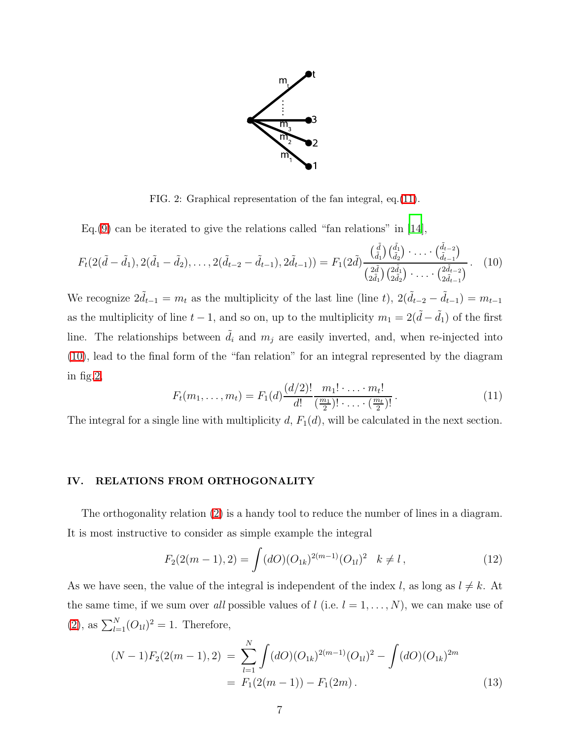<span id="page-6-1"></span>

<span id="page-6-2"></span>FIG. 2: Graphical representation of the fan integral, eq.[\(11\)](#page-6-0).

Eq.[\(9\)](#page-5-1) can be iterated to give the relations called "fan relations" in  $[14]$ ,

$$
F_t(2(\tilde{d}-\tilde{d}_1), 2(\tilde{d}_1-\tilde{d}_2), \dots, 2(\tilde{d}_{t-2}-\tilde{d}_{t-1}), 2\tilde{d}_{t-1}) = F_1(2\tilde{d}) \frac{\left(\frac{\tilde{d}}{\tilde{d}_1}\right)\left(\frac{\tilde{d}_1}{\tilde{d}_2}\right) \cdot \dots \cdot \left(\frac{\tilde{d}_{t-2}}{\tilde{d}_{t-1}}\right)}{\left(\frac{2\tilde{d}}{2\tilde{d}_1}\right)\left(\frac{2\tilde{d}_1}{2\tilde{d}_2}\right) \cdot \dots \cdot \left(\frac{2\tilde{d}_{t-2}}{2\tilde{d}_{t-1}}\right)}.
$$
 (10)

<span id="page-6-0"></span>We recognize  $2\tilde{d}_{t-1} = m_t$  as the multiplicity of the last line (line t),  $2(\tilde{d}_{t-2} - \tilde{d}_{t-1}) = m_{t-1}$ as the multiplicity of line  $t - 1$ , and so on, up to the multiplicity  $m_1 = 2(\tilde{d} - \tilde{d}_1)$  of the first line. The relationships between  $\tilde{d}_i$  and  $m_j$  are easily inverted, and, when re-injected into [\(10\)](#page-6-1), lead to the final form of the "fan relation" for an integral represented by the diagram in fig[.2,](#page-6-2)

$$
F_t(m_1, \ldots, m_t) = F_1(d) \frac{(d/2)!}{d!} \frac{m_1! \cdot \ldots \cdot m_t!}{(\frac{m_1}{2})! \cdot \ldots \cdot (\frac{m_t}{2})!}.
$$
\n(11)

The integral for a single line with multiplicity  $d, F_1(d)$ , will be calculated in the next section.

### IV. RELATIONS FROM ORTHOGONALITY

The orthogonality relation [\(2\)](#page-2-1) is a handy tool to reduce the number of lines in a diagram. It is most instructive to consider as simple example the integral

$$
F_2(2(m-1),2) = \int (dO)(O_{1k})^{2(m-1)}(O_{1l})^2 \quad k \neq l \,, \tag{12}
$$

As we have seen, the value of the integral is independent of the index l, as long as  $l \neq k$ . At the same time, if we sum over all possible values of  $l$  (i.e.  $l = 1, ..., N$ ), we can make use of [\(2\)](#page-2-1), as  $\sum_{l=1}^{N} (O_{1l})^2 = 1$ . Therefore,

<span id="page-6-3"></span>
$$
(N-1)F_2(2(m-1),2) = \sum_{l=1}^{N} \int (dO)(O_{1k})^{2(m-1)} (O_{1l})^2 - \int (dO)(O_{1k})^{2m}
$$
  
=  $F_1(2(m-1)) - F_1(2m)$ . (13)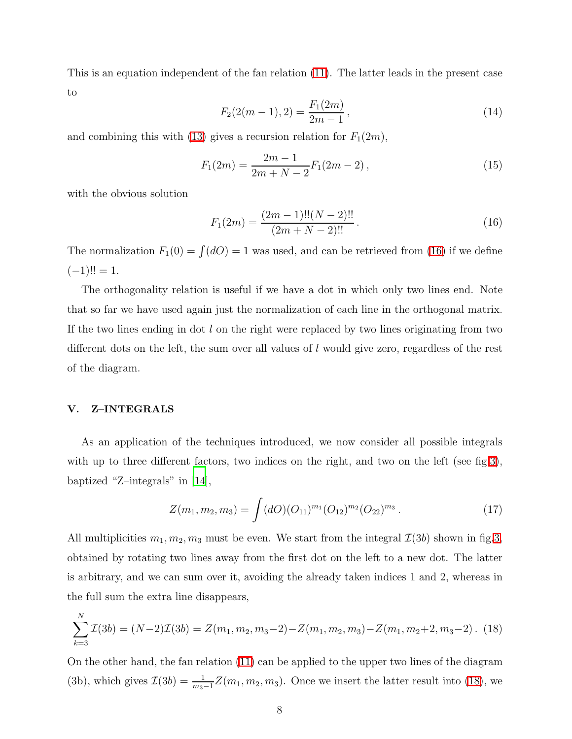This is an equation independent of the fan relation [\(11\)](#page-6-0). The latter leads in the present case to

$$
F_2(2(m-1),2) = \frac{F_1(2m)}{2m-1},
$$
\n(14)

and combining this with [\(13\)](#page-6-3) gives a recursion relation for  $F_1(2m)$ ,

$$
F_1(2m) = \frac{2m-1}{2m+N-2} F_1(2m-2),
$$
\n(15)

<span id="page-7-0"></span>with the obvious solution

$$
F_1(2m) = \frac{(2m-1)!!(N-2)!!}{(2m+N-2)!!}.
$$
\n(16)

The normalization  $F_1(0) = \int (dO) = 1$  was used, and can be retrieved from [\(16\)](#page-7-0) if we define  $(-1)!! = 1.$ 

The orthogonality relation is useful if we have a dot in which only two lines end. Note that so far we have used again just the normalization of each line in the orthogonal matrix. If the two lines ending in dot  $l$  on the right were replaced by two lines originating from two different dots on the left, the sum over all values of l would give zero, regardless of the rest of the diagram.

## V. Z–INTEGRALS

As an application of the techniques introduced, we now consider all possible integrals with up to three different factors, two indices on the right, and two on the left (see fig[.3\)](#page-8-0), baptized "Z–integrals" in [\[14\]](#page-12-13),

<span id="page-7-2"></span><span id="page-7-1"></span>
$$
Z(m_1, m_2, m_3) = \int (dO)(O_{11})^{m_1} (O_{12})^{m_2} (O_{22})^{m_3} . \tag{17}
$$

All multiplicities  $m_1, m_2, m_3$  must be even. We start from the integral  $\mathcal{I}(3b)$  shown in fig[.3,](#page-8-0) obtained by rotating two lines away from the first dot on the left to a new dot. The latter is arbitrary, and we can sum over it, avoiding the already taken indices 1 and 2, whereas in the full sum the extra line disappears,

$$
\sum_{k=3}^{N} \mathcal{I}(3b) = (N-2)\mathcal{I}(3b) = Z(m_1, m_2, m_3 - 2) - Z(m_1, m_2, m_3) - Z(m_1, m_2 + 2, m_3 - 2). \tag{18}
$$

On the other hand, the fan relation [\(11\)](#page-6-0) can be applied to the upper two lines of the diagram (3b), which gives  $\mathcal{I}(3b) = \frac{1}{m_3-1} Z(m_1, m_2, m_3)$ . Once we insert the latter result into [\(18\)](#page-7-1), we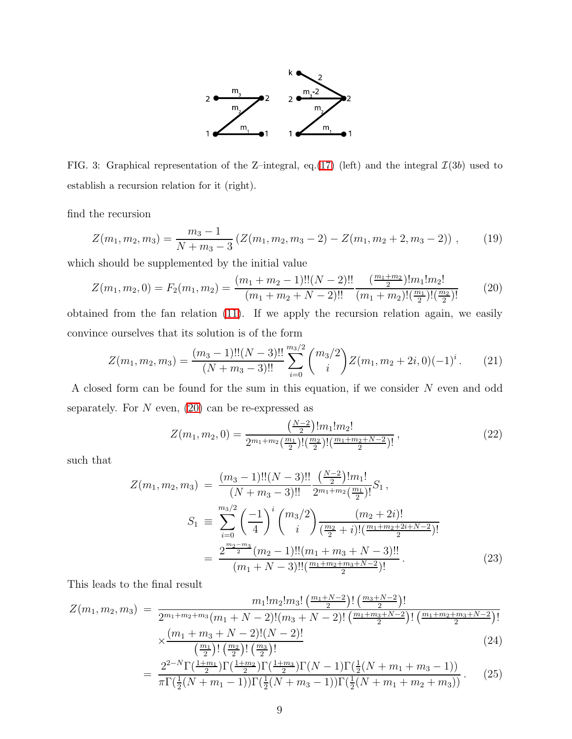

<span id="page-8-0"></span>FIG. 3: Graphical representation of the Z-integral, eq.[\(17\)](#page-7-2) (left) and the integral  $\mathcal{I}(3b)$  used to establish a recursion relation for it (right).

find the recursion

<span id="page-8-1"></span>
$$
Z(m_1, m_2, m_3) = \frac{m_3 - 1}{N + m_3 - 3} \left( Z(m_1, m_2, m_3 - 2) - Z(m_1, m_2 + 2, m_3 - 2) \right), \tag{19}
$$

which should be supplemented by the initial value

$$
Z(m_1, m_2, 0) = F_2(m_1, m_2) = \frac{(m_1 + m_2 - 1)!!(N - 2)!!}{(m_1 + m_2 + N - 2)!!} \frac{\left(\frac{m_1 + m_2}{2}\right)! m_1! m_2!}{(m_1 + m_2)!(\frac{m_1}{2})!(\frac{m_2}{2})!} \tag{20}
$$

obtained from the fan relation [\(11\)](#page-6-0). If we apply the recursion relation again, we easily convince ourselves that its solution is of the form

$$
Z(m_1, m_2, m_3) = \frac{(m_3 - 1)!!(N - 3)!!}{(N + m_3 - 3)!!} \sum_{i=0}^{m_3/2} {m_3/2 \choose i} Z(m_1, m_2 + 2i, 0) (-1)^i.
$$
 (21)

A closed form can be found for the sum in this equation, if we consider N even and odd separately. For  $N$  even, [\(20\)](#page-8-1) can be re-expressed as

$$
Z(m_1, m_2, 0) = \frac{\left(\frac{N-2}{2}\right)! m_1! m_2!}{2^{m_1+m_2} \left(\frac{m_1}{2}\right)! \left(\frac{m_2}{2}\right)! \left(\frac{m_1+m_2+N-2}{2}\right)!},
$$
\n(22)

<span id="page-8-2"></span>such that

$$
Z(m_1, m_2, m_3) = \frac{(m_3 - 1)!!(N - 3)!!}{(N + m_3 - 3)!!} \frac{\left(\frac{N - 2}{2}\right)! m_1!}{2^{m_1 + m_2} \left(\frac{m_1}{2}\right)!} S_1,
$$
  

$$
S_1 \equiv \sum_{i=0}^{m_3/2} \left(\frac{-1}{4}\right)^i {m_3/2 \choose i} \frac{(m_2 + 2i)!}{\left(\frac{m_2}{2} + i\right)! \left(\frac{m_1 + m_2 + 2i + N - 2}{2}\right)!}
$$
  

$$
= \frac{2^{\frac{m_2 - m_3}{2}} (m_2 - 1)!! (m_1 + m_3 + N - 3)!!}{(m_1 + N - 3)!! \left(\frac{m_1 + m_2 + m_3 + N - 2}{2}\right)!}.
$$
 (23)

This leads to the final result

$$
Z(m_1, m_2, m_3) = \frac{m_1! m_2! m_3! \left(\frac{m_1 + N - 2}{2}\right)! \left(\frac{m_3 + N - 2}{2}\right)!}{2^{m_1 + m_2 + m_3} (m_1 + N - 2)! (m_3 + N - 2)! \left(\frac{m_1 + m_3 + N - 2}{2}\right)! \left(\frac{m_1 + m_2 + m_3 + N - 2}{2}\right)!}
$$
  

$$
\times \frac{(m_1 + m_3 + N - 2)! (N - 2)!}{(m_1)!(m_2)!(m_3)!}
$$
 (24)

$$
= \frac{2^{2-N}\Gamma(\frac{1+m_1}{2})!\left(\frac{m_2}{2}\right)!}{\pi\Gamma(\frac{1}{2}(N+m_1-1))\Gamma(\frac{1+m_3}{2})\Gamma(N-1)\Gamma(\frac{1}{2}(N+m_1+m_3-1))}
$$
\n
$$
= \frac{2^{2-N}\Gamma(\frac{1+m_1}{2})\Gamma(\frac{1+m_2}{2})\Gamma(\frac{1+m_3}{2})\Gamma(N-1)\Gamma(\frac{1}{2}(N+m_1+m_3-1))}{\pi\Gamma(\frac{1}{2}(N+m_1-1))\Gamma(\frac{1}{2}(N+m_3-1))\Gamma(\frac{1}{2}(N+m_1+m_2+m_3))}.
$$
\n(25)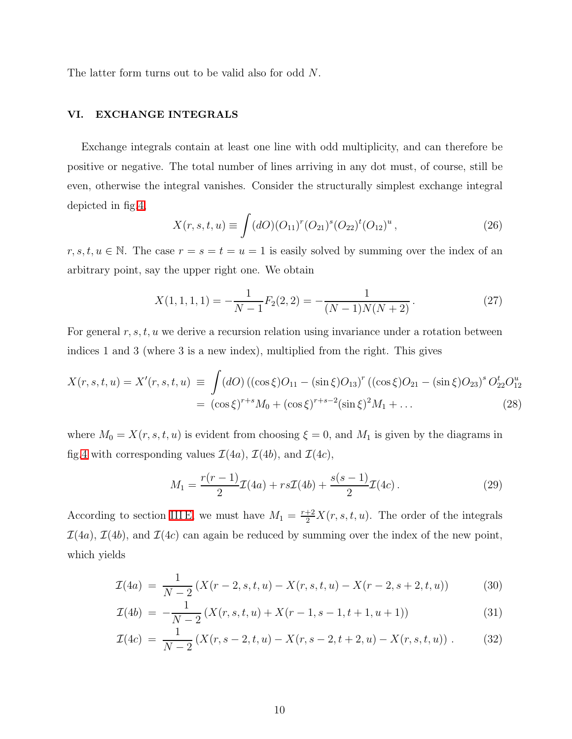The latter form turns out to be valid also for odd N.

# VI. EXCHANGE INTEGRALS

Exchange integrals contain at least one line with odd multiplicity, and can therefore be positive or negative. The total number of lines arriving in any dot must, of course, still be even, otherwise the integral vanishes. Consider the structurally simplest exchange integral depicted in fig[.4,](#page-10-0)

$$
X(r, s, t, u) \equiv \int (dO)(O_{11})^r (O_{21})^s (O_{22})^t (O_{12})^u,
$$
\n(26)

 $r, s, t, u \in \mathbb{N}$ . The case  $r = s = t = u = 1$  is easily solved by summing over the index of an arbitrary point, say the upper right one. We obtain

$$
X(1,1,1,1) = -\frac{1}{N-1}F_2(2,2) = -\frac{1}{(N-1)N(N+2)}.
$$
\n(27)

For general  $r, s, t, u$  we derive a recursion relation using invariance under a rotation between indices 1 and 3 (where 3 is a new index), multiplied from the right. This gives

$$
X(r, s, t, u) = X'(r, s, t, u) \equiv \int (dO) \left( (\cos \xi) O_{11} - (\sin \xi) O_{13} \right)^r \left( (\cos \xi) O_{21} - (\sin \xi) O_{23} \right)^s O_{22}^t O_{12}^u
$$
  
= 
$$
(\cos \xi)^{r+s} M_0 + (\cos \xi)^{r+s-2} (\sin \xi)^2 M_1 + ... \tag{28}
$$

where  $M_0 = X(r, s, t, u)$  is evident from choosing  $\xi = 0$ , and  $M_1$  is given by the diagrams in fig[.4](#page-10-0) with corresponding values  $\mathcal{I}(4a)$ ,  $\mathcal{I}(4b)$ , and  $\mathcal{I}(4c)$ ,

<span id="page-9-0"></span>
$$
M_1 = \frac{r(r-1)}{2}\mathcal{I}(4a) + rs\mathcal{I}(4b) + \frac{s(s-1)}{2}\mathcal{I}(4c).
$$
 (29)

According to section [III E,](#page-4-1) we must have  $M_1 = \frac{r+2}{2}X(r, s, t, u)$ . The order of the integrals  $\mathcal{I}(4a)$ ,  $\mathcal{I}(4b)$ , and  $\mathcal{I}(4c)$  can again be reduced by summing over the index of the new point, which yields

$$
\mathcal{I}(4a) = \frac{1}{N-2} \left( X(r-2, s, t, u) - X(r, s, t, u) - X(r-2, s+2, t, u) \right) \tag{30}
$$

$$
\mathcal{I}(4b) = -\frac{1}{N-2} \left( X(r,s,t,u) + X(r-1,s-1,t+1,u+1) \right) \tag{31}
$$

$$
\mathcal{I}(4c) = \frac{1}{N-2} \left( X(r, s-2, t, u) - X(r, s-2, t+2, u) - X(r, s, t, u) \right). \tag{32}
$$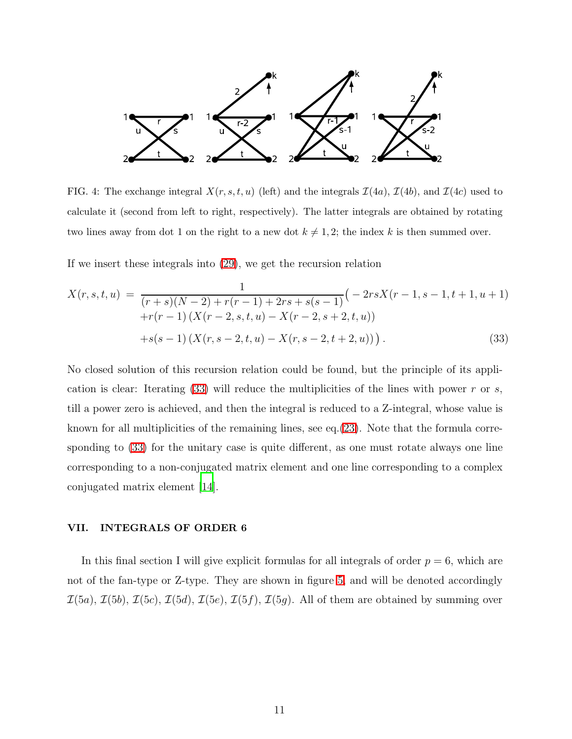

<span id="page-10-0"></span>FIG. 4: The exchange integral  $X(r, s, t, u)$  (left) and the integrals  $\mathcal{I}(4a)$ ,  $\mathcal{I}(4b)$ , and  $\mathcal{I}(4c)$  used to calculate it (second from left to right, respectively). The latter integrals are obtained by rotating two lines away from dot 1 on the right to a new dot  $k \neq 1, 2$ ; the index k is then summed over.

If we insert these integrals into [\(29\)](#page-9-0), we get the recursion relation

<span id="page-10-1"></span>
$$
X(r, s, t, u) = \frac{1}{(r+s)(N-2) + r(r-1) + 2rs + s(s-1)} \left( -2rsX(r-1, s-1, t+1, u+1) + r(r-1) \left( X(r-2, s, t, u) - X(r-2, s+2, t, u) \right) + s(s-1) \left( X(r, s-2, t, u) - X(r, s-2, t+2, u) \right) \right).
$$
\n(33)

No closed solution of this recursion relation could be found, but the principle of its application is clear: Iterating  $(33)$  will reduce the multiplicities of the lines with power r or s, till a power zero is achieved, and then the integral is reduced to a Z-integral, whose value is known for all multiplicities of the remaining lines, see eq.[\(23\)](#page-8-2). Note that the formula corresponding to [\(33\)](#page-10-1) for the unitary case is quite different, as one must rotate always one line corresponding to a non-conjugated matrix element and one line corresponding to a complex conjugated matrix element [\[14\]](#page-12-13).

# VII. INTEGRALS OF ORDER 6

In this final section I will give explicit formulas for all integrals of order  $p = 6$ , which are not of the fan-type or Z-type. They are shown in figure [5,](#page-11-0) and will be denoted accordingly  $\mathcal{I}(5a)$ ,  $\mathcal{I}(5b)$ ,  $\mathcal{I}(5c)$ ,  $\mathcal{I}(5d)$ ,  $\mathcal{I}(5e)$ ,  $\mathcal{I}(5f)$ ,  $\mathcal{I}(5g)$ . All of them are obtained by summing over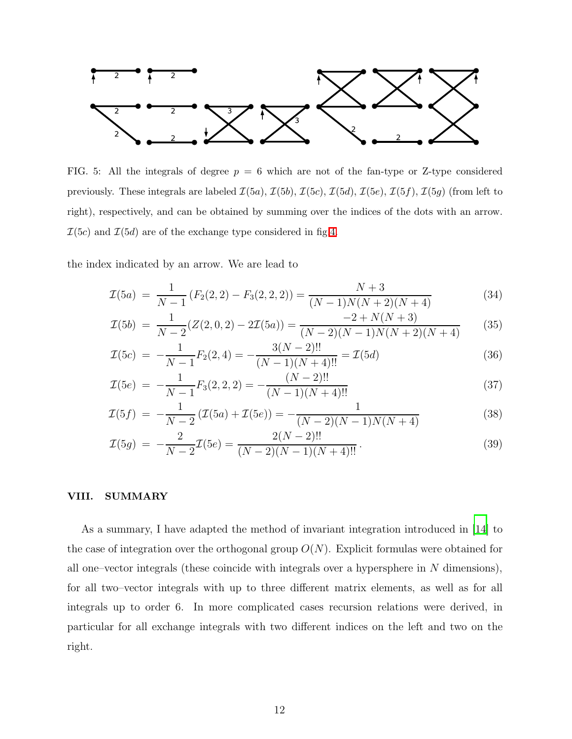

<span id="page-11-0"></span>FIG. 5: All the integrals of degree  $p = 6$  which are not of the fan-type or Z-type considered previously. These integrals are labeled  $\mathcal{I}(5a)$ ,  $\mathcal{I}(5b)$ ,  $\mathcal{I}(5c)$ ,  $\mathcal{I}(5d)$ ,  $\mathcal{I}(5e)$ ,  $\mathcal{I}(5f)$ ,  $\mathcal{I}(5g)$  (from left to right), respectively, and can be obtained by summing over the indices of the dots with an arrow.  $\mathcal{I}(5c)$  and  $\mathcal{I}(5d)$  are of the exchange type considered in fig[.4.](#page-10-0)

the index indicated by an arrow. We are lead to

$$
\mathcal{I}(5a) = \frac{1}{N-1} \left( F_2(2,2) - F_3(2,2,2) \right) = \frac{N+3}{(N-1)N(N+2)(N+4)} \tag{34}
$$

$$
\mathcal{I}(5b) = \frac{1}{N-2}(Z(2,0,2) - 2\mathcal{I}(5a)) = \frac{-2 + N(N+3)}{(N-2)(N-1)N(N+2)(N+4)}\tag{35}
$$

$$
\mathcal{I}(5c) = -\frac{1}{N-1}F_2(2,4) = -\frac{3(N-2)!!}{(N-1)(N+4)!!} = \mathcal{I}(5d)
$$
\n(36)

$$
\mathcal{I}(5e) = -\frac{1}{N-1}F_3(2,2,2) = -\frac{(N-2)!!}{(N-1)(N+4)!!}
$$
\n(37)

$$
\mathcal{I}(5f) = -\frac{1}{N-2} \left( \mathcal{I}(5a) + \mathcal{I}(5e) \right) = -\frac{1}{(N-2)(N-1)N(N+4)} \tag{38}
$$

$$
\mathcal{I}(5g) = -\frac{2}{N-2}\mathcal{I}(5e) = \frac{2(N-2)!!}{(N-2)(N-1)(N+4)!!}.
$$
\n(39)

# VIII. SUMMARY

As a summary, I have adapted the method of invariant integration introduced in [\[14\]](#page-12-13) to the case of integration over the orthogonal group  $O(N)$ . Explicit formulas were obtained for all one–vector integrals (these coincide with integrals over a hypersphere in  $N$  dimensions), for all two–vector integrals with up to three different matrix elements, as well as for all integrals up to order 6. In more complicated cases recursion relations were derived, in particular for all exchange integrals with two different indices on the left and two on the right.